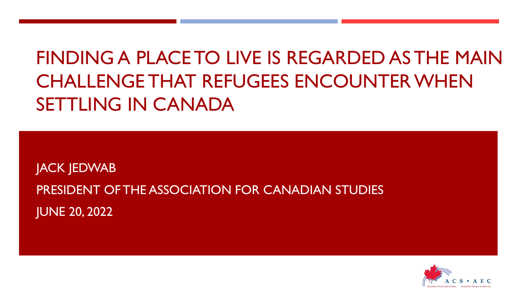# FINDING A PLACE TO LIVE IS REGARDED AS THE MAIN CHALLENGE THAT REFUGEES ENCOUNTER WHEN SETTLING IN CANADA

JACK JEDWAB PRESIDENT OF THE ASSOCIATION FOR CANADIAN STUDIES JUNE 20, 2022

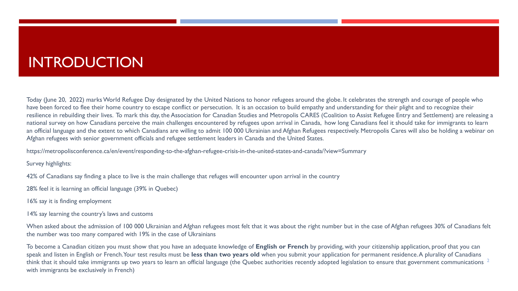## INTRODUCTION

Today (June 20, 2022) marks World Refugee Day designated by the United Nations to honor refugees around the globe. It celebrates the strength and courage of people who have been forced to flee their home country to escape conflict or persecution. It is an occasion to build empathy and understanding for their plight and to recognize their resilience in rebuilding their lives. To mark this day, the Association for Canadian Studies and Metropolis CARES (Coalition to Assist Refugee Entry and Settlement) are releasing a national survey on how Canadians perceive the main challenges encountered by refugees upon arrival in Canada, how long Canadians feel it should take for immigrants to learn an official language and the extent to which Canadians are willing to admit 100 000 Ukrainian and Afghan Refugees respectively. Metropolis Cares will also be holding a webinar on Afghan refugees with senior government officials and refugee settlement leaders in Canada and the United States.

https://metropolisconference.ca/en/event/responding-to-the-afghan-refugee-crisis-in-the-united-states-and-canada/?view=Summary

Survey highlights:

42% of Canadians say finding a place to live is the main challenge that refuges will encounter upon arrival in the country

28% feel it is learning an official language (39% in Quebec)

16% say it is finding employment

14% say learning the country's laws and customs

When asked about the admission of 100 000 Ukrainian and Afghan refugees most felt that it was about the right number but in the case of Afghan refugees 30% of Canadians felt the number was too many compared with 19% in the case of Ukrainians

To become a Canadian citizen you must show that you have an adequate knowledge of **English or French** by providing, with your citizenship application, proof that you can speak and listen in English or French. Your test results must be **less than two years old** when you submit your application for permanent residence. A plurality of Canadians think that it should take immigrants up two years to learn an official language (the Quebec authorities recently adopted legislation to ensure that government communications  $^{\rm 2}$ with immigrants be exclusively in French)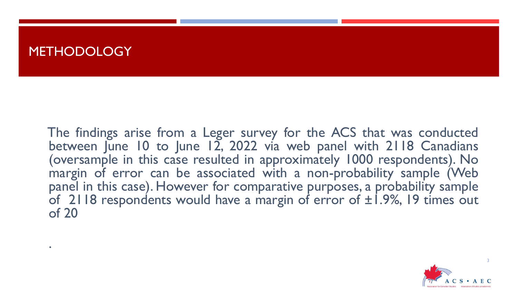### **METHODOLOGY**

.

The findings arise from a Leger survey for the ACS that was conducted between June 10 to June 12, 2022 via web panel with 2118 Canadians (oversample in this case resulted in approximately 1000 respondents). No margin of error can be associated with a non-probability sample (Web panel in this case). However for comparative purposes, a probability sample of 2118 respondents would have a margin of error of  $\pm 1.9$ %, 19 times out of 20

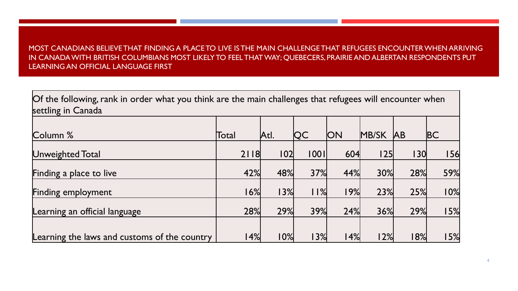#### MOST CANADIANS BELIEVE THAT FINDING A PLACE TO LIVE IS THE MAIN CHALLENGE THAT REFUGEES ENCOUNTER WHEN ARRIVING IN CANADA WITH BRITISH COLUMBIANS MOST LIKELY TO FEEL THAT WAY; QUEBECERS, PRAIRIE AND ALBERTAN RESPONDENTS PUT LEARNING AN OFFICIAL LANGUAGE FIRST

Of the following, rank in order what you think are the main challenges that refugees will encounter when settling in Canada

| Column %                                     | Total | Atl. | <b>QC</b> | <b>ON</b> | <b>MB/SK</b> | <b>JAB</b> | <b>BC</b>  |
|----------------------------------------------|-------|------|-----------|-----------|--------------|------------|------------|
| Unweighted Total                             | 2118  | 102  | 001       | 604       | 25           | 30         | <b>156</b> |
| Finding a place to live                      | 42%   | 48%  | 37%       | 44%       | 30%          | 28%        | 59%        |
| Finding employment                           | 6%    | 13%  | $ $ $ $ % | $ 9\% $   | 23%          | 25%        | 10%        |
| Learning an official language                | 28%   | 29%  | 39%       | 24%       | 36%          | 29%        | 15%        |
|                                              |       |      |           |           |              |            |            |
| Learning the laws and customs of the country | 4%    | 10%  | 13%       | 4%        | 12%          | 18%        | 15%        |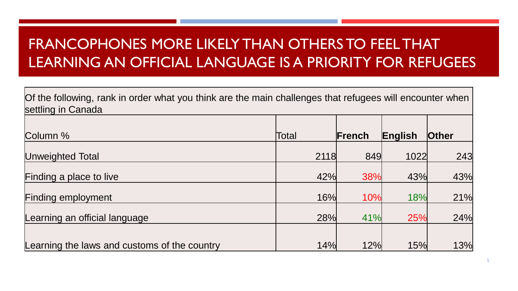# FRANCOPHONES MORE LIKELY THAN OTHERS TO FEEL THAT LEARNING AN OFFICIAL LANGUAGE IS A PRIORITY FOR REFUGEES

| Of the following, rank in order what you think are the main challenges that refugees will encounter when<br>settling in Canada |       |        |         |              |
|--------------------------------------------------------------------------------------------------------------------------------|-------|--------|---------|--------------|
|                                                                                                                                |       |        |         |              |
| Column %                                                                                                                       | Total | French | English | <b>Other</b> |
| Unweighted Total                                                                                                               | 2118  | 849    | 1022    | 243          |
| Finding a place to live                                                                                                        | 42%   | 38%    | 43%     | 43%          |
| <b>Finding employment</b>                                                                                                      | 16%   | 10%    | 18%     | 21%          |
| Learning an official language                                                                                                  | 28%   | 41%    | 25%     | 24%          |
| Learning the laws and customs of the country                                                                                   | 14%   | 12%    | 15%     | 13%          |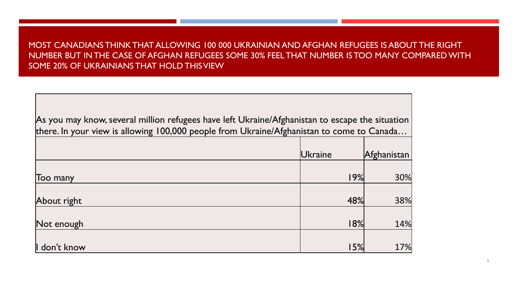#### MOST CANADIANS THINK THAT ALLOWING 100 000 UKRAINIAN AND AFGHAN REFUGEES IS ABOUT THE RIGHT NUMBER BUT IN THE CASE OF AFGHAN REFUGEES SOME 30% FEEL THAT NUMBER IS TOO MANY COMPARED WITH SOME 20% OF UKRAINIANS THAT HOLD THIS VIEW

| As you may know, several million refugees have left Ukraine/Afghanistan to escape the situation |         |             |  |  |  |  |  |  |
|-------------------------------------------------------------------------------------------------|---------|-------------|--|--|--|--|--|--|
| there. In your view is allowing 100,000 people from Ukraine/Afghanistan to come to Canada       |         |             |  |  |  |  |  |  |
|                                                                                                 |         |             |  |  |  |  |  |  |
|                                                                                                 | Ukraine | Afghanistan |  |  |  |  |  |  |
|                                                                                                 |         |             |  |  |  |  |  |  |
| Too many                                                                                        | 19%     | 30%         |  |  |  |  |  |  |
|                                                                                                 |         |             |  |  |  |  |  |  |
| About right                                                                                     | 48%     | 38%         |  |  |  |  |  |  |
|                                                                                                 |         |             |  |  |  |  |  |  |
| Not enough                                                                                      | 18%     | 14%         |  |  |  |  |  |  |
|                                                                                                 |         |             |  |  |  |  |  |  |
| I don't know                                                                                    | 15%     | 17%         |  |  |  |  |  |  |

6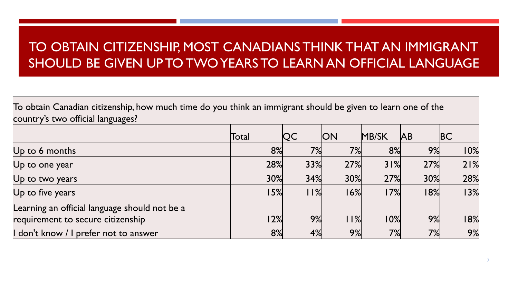### TO OBTAIN CITIZENSHIP, MOST CANADIANS THINK THAT AN IMMIGRANT SHOULD BE GIVEN UP TO TWO YEARS TO LEARN AN OFFICIAL LANGUAGE

To obtain Canadian citizenship, how much time do you think an immigrant should be given to learn one of the country's two official languages?

|                                                                                    | Total | <b>QC</b> | <b>ON</b> | <b>MB/SK</b> | <b>JAB</b> | <b>BC</b> |
|------------------------------------------------------------------------------------|-------|-----------|-----------|--------------|------------|-----------|
| $Up$ to 6 months                                                                   | 8%    | 7%        | 7%        | 8%           | 9%         | 10%       |
| $Up$ to one year                                                                   | 28%   | 33%       | 27%       | 31%          | 27%        | 21%       |
| Up to two years                                                                    | 30%   | 34%       | 30%       | 27%          | 30%        | 28%       |
| Up to five years                                                                   | 15%   | 11%       | 16%       | 17%          | 18%        | 13%       |
| Learning an official language should not be a<br>requirement to secure citizenship | 12%   | 9%        | %         | 10%          | 9%         | 18%       |
| don't know / I prefer not to answer                                                | 8%    | 4%        | 9%        | 7%           | 7%         | 9%        |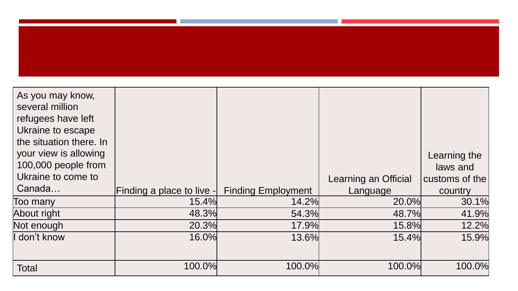| As you may know,<br>several million<br>refugees have left<br>Ukraine to escape |                           |                           |                      |                          |
|--------------------------------------------------------------------------------|---------------------------|---------------------------|----------------------|--------------------------|
| the situation there. In<br>your view is allowing<br>100,000 people from        |                           |                           |                      | Learning the<br>laws and |
| Ukraine to come to                                                             |                           |                           | Learning an Official | customs of the           |
| Canada                                                                         | Finding a place to live - | <b>Finding Employment</b> | Language             | country                  |
| Too many                                                                       | 15.4%                     | 14.2%                     | 20.0%                | 30.1%                    |
| About right                                                                    | 48.3%                     | 54.3%                     | 48.7%                | 41.9%                    |
| Not enough                                                                     | 20.3%                     | 17.9%                     | 15.8%                | 12.2%                    |
| I don't know                                                                   | 16.0%                     | 13.6%                     | 15.4%                | 15.9%                    |
| <b>Total</b>                                                                   | 100.0%                    | 100.0%                    | 100.0%               | 100.0%                   |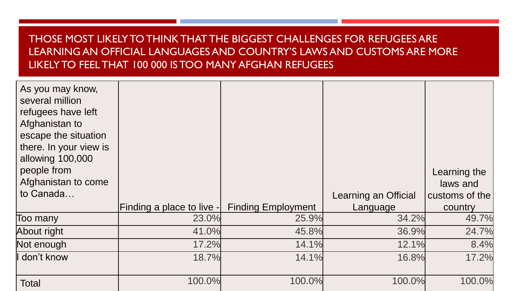### THOSE MOST LIKELY TO THINK THAT THE BIGGEST CHALLENGES FOR REFUGEES ARE LEARNING AN OFFICIAL LANGUAGES AND COUNTRY'S LAWS AND CUSTOMS ARE MORE LIKELY TO FEEL THAT 100 000 IS TOO MANY AFGHAN REFUGEES

| As you may know,<br>several million<br>refugees have left<br>Afghanistan to<br>escape the situation<br>there. In your view is<br>allowing 100,000<br>people from<br>Afghanistan to come |                           |                           |                      | Learning the<br>laws and |
|-----------------------------------------------------------------------------------------------------------------------------------------------------------------------------------------|---------------------------|---------------------------|----------------------|--------------------------|
| to Canada                                                                                                                                                                               |                           |                           | Learning an Official | customs of the           |
|                                                                                                                                                                                         | Finding a place to live - | <b>Finding Employment</b> | Language             | country                  |
| Too many                                                                                                                                                                                | 23.0%                     | 25.9%                     | 34.2%                | 49.7%                    |
| About right                                                                                                                                                                             | 41.0%                     | 45.8%                     | 36.9%                | 24.7%                    |
| Not enough                                                                                                                                                                              | 17.2%                     | 14.1%                     | 12.1%                | 8.4%                     |
| I don't know                                                                                                                                                                            | 18.7%                     | 14.1%                     | 16.8%                | 17.2%                    |
| Total                                                                                                                                                                                   | 100.0%                    | 100.0%                    | 100.0%               | 100.0%                   |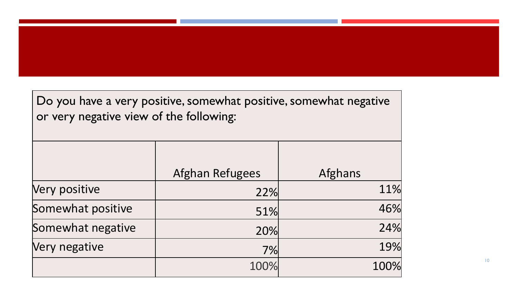Do you have a very positive, somewhat positive, somewhat negative or very negative view of the following:

|                   | <b>Afghan Refugees</b> | <b>Afghans</b> |
|-------------------|------------------------|----------------|
| Very positive     | 22%                    | 11%            |
| Somewhat positive | 51%                    | 46%            |
| Somewhat negative | 20%                    | 24%            |
| Very negative     | 7%                     | 19%            |
|                   | 100%                   | 100%           |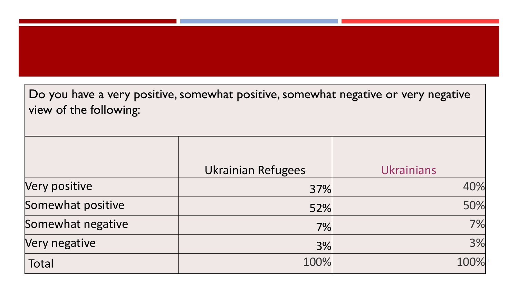Do you have a very positive, somewhat positive, somewhat negative or very negative view of the following:

|                   | <b>Ukrainian Refugees</b> | <b>Ukrainians</b> |
|-------------------|---------------------------|-------------------|
| Very positive     | 37%                       | 40%               |
| Somewhat positive | 52%                       | 50%               |
| Somewhat negative | 7%                        | 7%                |
| Very negative     | 3%                        | 3%                |
| Total             | 100%                      | 100%              |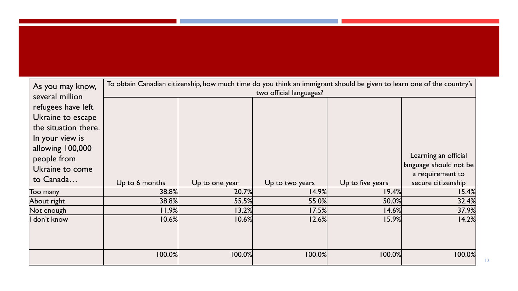| As you may know,      | To obtain Canadian citizenship, how much time do you think an immigrant should be given to learn one of the country's |                |                         |                  |                        |  |
|-----------------------|-----------------------------------------------------------------------------------------------------------------------|----------------|-------------------------|------------------|------------------------|--|
| several million       |                                                                                                                       |                | two official languages? |                  |                        |  |
| refugees have left    |                                                                                                                       |                |                         |                  |                        |  |
| Ukraine to escape     |                                                                                                                       |                |                         |                  |                        |  |
| the situation there.  |                                                                                                                       |                |                         |                  |                        |  |
| In your view is       |                                                                                                                       |                |                         |                  |                        |  |
| allowing 100,000      |                                                                                                                       |                |                         |                  |                        |  |
| people from           |                                                                                                                       |                |                         |                  | Learning an official   |  |
| Ukraine to come       |                                                                                                                       |                |                         |                  | language should not be |  |
| to Canada             |                                                                                                                       |                |                         |                  | a requirement to       |  |
|                       | Up to 6 months                                                                                                        | Up to one year | Up to two years         | Up to five years | secure citizenship     |  |
| Too many              | 38.8%                                                                                                                 | 20.7%          | 14.9%                   | 19.4%            | 15.4%                  |  |
| About right           | 38.8%                                                                                                                 | 55.5%          | 55.0%                   | 50.0%            | 32.4%                  |  |
| $\mathsf{Not}$ enough | 11.9%                                                                                                                 | 13.2%          | 17.5%                   | 14.6%            | 37.9%                  |  |
| don't know            | 10.6%                                                                                                                 | 10.6%          | 12.6%                   | 15.9%            | 14.2%                  |  |
|                       |                                                                                                                       |                |                         |                  |                        |  |
|                       |                                                                                                                       |                |                         |                  |                        |  |
|                       |                                                                                                                       |                |                         |                  |                        |  |
|                       | 100.0%                                                                                                                | 100.0%         | 100.0%                  | 100.0%           | 100.0%                 |  |
|                       |                                                                                                                       |                |                         |                  |                        |  |

12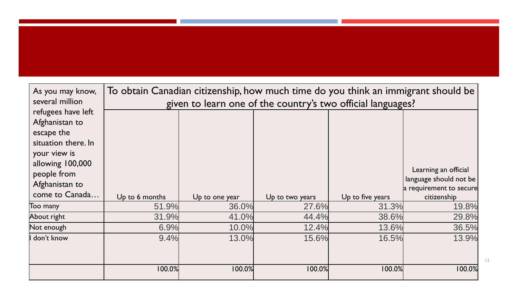| As you may know,                                                                                                                               | To obtain Canadian citizenship, how much time do you think an immigrant should be |                                                             |                 |                  |                                                                           |  |  |  |
|------------------------------------------------------------------------------------------------------------------------------------------------|-----------------------------------------------------------------------------------|-------------------------------------------------------------|-----------------|------------------|---------------------------------------------------------------------------|--|--|--|
| several million                                                                                                                                |                                                                                   | given to learn one of the country's two official languages? |                 |                  |                                                                           |  |  |  |
| refugees have left<br>Afghanistan to<br>escape the<br>situation there. In<br>your view is<br>allowing 100,000<br>people from<br>Afghanistan to |                                                                                   |                                                             |                 |                  | Learning an official<br>language should not be<br>a requirement to secure |  |  |  |
| come to Canada                                                                                                                                 | Up to 6 months                                                                    | Up to one year                                              | Up to two years | Up to five years | citizenship                                                               |  |  |  |
| Too many                                                                                                                                       | 51.9%                                                                             | 36.0%                                                       | 27.6%           | 31.3%            | 19.8%                                                                     |  |  |  |
| About right                                                                                                                                    | 31.9%                                                                             | 41.0%                                                       | 44.4%           | 38.6%            | 29.8%                                                                     |  |  |  |
| Not enough                                                                                                                                     | 6.9%                                                                              | 10.0%                                                       | 12.4%           | 13.6%            | 36.5%                                                                     |  |  |  |
| don't know                                                                                                                                     | 9.4%                                                                              | 13.0%                                                       | 15.6%           | 16.5%            | 13.9%                                                                     |  |  |  |
|                                                                                                                                                | 100.0%                                                                            | 100.0%                                                      | 100.0%          | 100.0%           | 100.0%                                                                    |  |  |  |

13